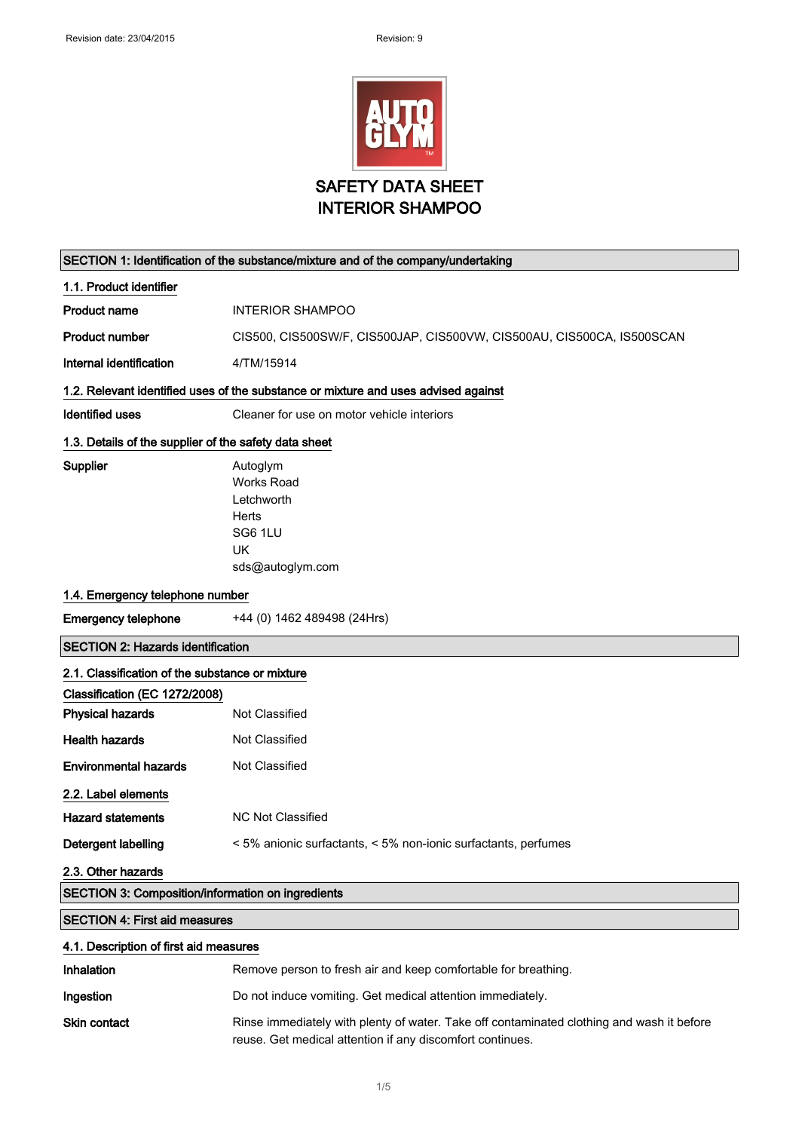

| SECTION 1: Identification of the substance/mixture and of the company/undertaking  |                                                                        |  |
|------------------------------------------------------------------------------------|------------------------------------------------------------------------|--|
| 1.1. Product identifier                                                            |                                                                        |  |
| <b>Product name</b>                                                                | <b>INTERIOR SHAMPOO</b>                                                |  |
| <b>Product number</b>                                                              | CIS500, CIS500SW/F, CIS500JAP, CIS500VW, CIS500AU, CIS500CA, IS500SCAN |  |
| Internal identification                                                            | 4/TM/15914                                                             |  |
| 1.2. Relevant identified uses of the substance or mixture and uses advised against |                                                                        |  |
| <b>Identified uses</b>                                                             | Cleaner for use on motor vehicle interiors                             |  |
| 1.3. Details of the supplier of the safety data sheet                              |                                                                        |  |
| Supplier                                                                           | Autoglym                                                               |  |
|                                                                                    | <b>Works Road</b>                                                      |  |
|                                                                                    | Letchworth                                                             |  |
|                                                                                    | Herts                                                                  |  |
|                                                                                    | SG6 1LU                                                                |  |
|                                                                                    | UK                                                                     |  |
|                                                                                    | sds@autoglym.com                                                       |  |
| 1.4. Emergency telephone number                                                    |                                                                        |  |
| <b>Emergency telephone</b>                                                         | +44 (0) 1462 489498 (24Hrs)                                            |  |
| <b>SECTION 2: Hazards identification</b>                                           |                                                                        |  |
|                                                                                    |                                                                        |  |
| 2.1. Classification of the substance or mixture                                    |                                                                        |  |
| Classification (EC 1272/2008)                                                      |                                                                        |  |
| <b>Physical hazards</b>                                                            | Not Classified                                                         |  |
| <b>Health hazards</b>                                                              | Not Classified                                                         |  |
| <b>Environmental hazards</b>                                                       | Not Classified                                                         |  |
| 2.2. Label elements                                                                |                                                                        |  |
| <b>Hazard statements</b>                                                           | <b>NC Not Classified</b>                                               |  |
| Detergent labelling                                                                | < 5% anionic surfactants, < 5% non-ionic surfactants, perfumes         |  |
| 2.3. Other hazards                                                                 |                                                                        |  |
| SECTION 3: Composition/information on ingredients                                  |                                                                        |  |
| <b>SECTION 4: First aid measures</b>                                               |                                                                        |  |
| 4.1. Description of first aid measures                                             |                                                                        |  |
| Inhalation                                                                         | Remove person to fresh air and keep comfortable for breathing.         |  |

# Skin contact Rinse immediately with plenty of water. Take off contaminated clothing and wash it before reuse. Get medical attention if any discomfort continues.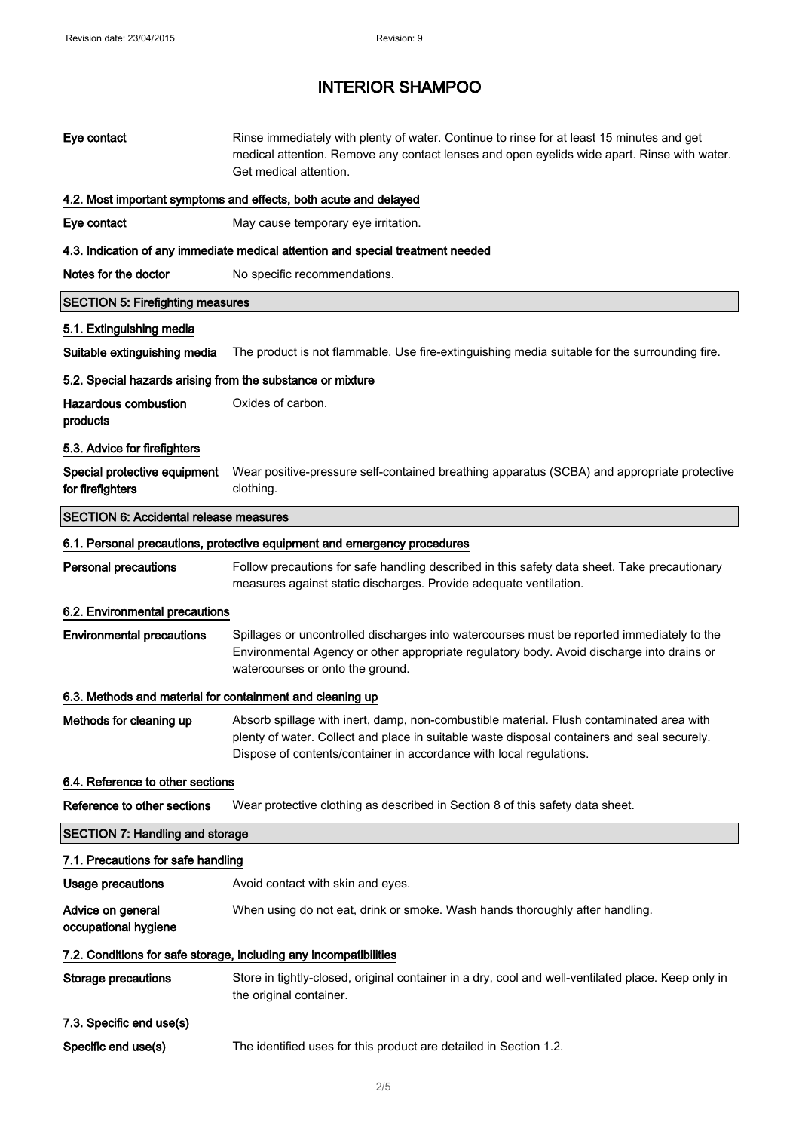| Eye contact                                                                     | Rinse immediately with plenty of water. Continue to rinse for at least 15 minutes and get<br>medical attention. Remove any contact lenses and open eyelids wide apart. Rinse with water.<br>Get medical attention.                                             |  |
|---------------------------------------------------------------------------------|----------------------------------------------------------------------------------------------------------------------------------------------------------------------------------------------------------------------------------------------------------------|--|
| 4.2. Most important symptoms and effects, both acute and delayed                |                                                                                                                                                                                                                                                                |  |
| Eye contact                                                                     | May cause temporary eye irritation.                                                                                                                                                                                                                            |  |
| 4.3. Indication of any immediate medical attention and special treatment needed |                                                                                                                                                                                                                                                                |  |
| Notes for the doctor                                                            | No specific recommendations.                                                                                                                                                                                                                                   |  |
| <b>SECTION 5: Firefighting measures</b>                                         |                                                                                                                                                                                                                                                                |  |
| 5.1. Extinguishing media                                                        |                                                                                                                                                                                                                                                                |  |
| Suitable extinguishing media                                                    | The product is not flammable. Use fire-extinguishing media suitable for the surrounding fire.                                                                                                                                                                  |  |
| 5.2. Special hazards arising from the substance or mixture                      |                                                                                                                                                                                                                                                                |  |
| <b>Hazardous combustion</b><br>products                                         | Oxides of carbon.                                                                                                                                                                                                                                              |  |
| 5.3. Advice for firefighters                                                    |                                                                                                                                                                                                                                                                |  |
| Special protective equipment<br>for firefighters                                | Wear positive-pressure self-contained breathing apparatus (SCBA) and appropriate protective<br>clothing.                                                                                                                                                       |  |
| <b>SECTION 6: Accidental release measures</b>                                   |                                                                                                                                                                                                                                                                |  |
|                                                                                 | 6.1. Personal precautions, protective equipment and emergency procedures                                                                                                                                                                                       |  |
| <b>Personal precautions</b>                                                     | Follow precautions for safe handling described in this safety data sheet. Take precautionary<br>measures against static discharges. Provide adequate ventilation.                                                                                              |  |
| 6.2. Environmental precautions                                                  |                                                                                                                                                                                                                                                                |  |
|                                                                                 |                                                                                                                                                                                                                                                                |  |
| <b>Environmental precautions</b>                                                | Spillages or uncontrolled discharges into watercourses must be reported immediately to the<br>Environmental Agency or other appropriate regulatory body. Avoid discharge into drains or<br>watercourses or onto the ground.                                    |  |
| 6.3. Methods and material for containment and cleaning up                       |                                                                                                                                                                                                                                                                |  |
| Methods for cleaning up                                                         | Absorb spillage with inert, damp, non-combustible material. Flush contaminated area with<br>plenty of water. Collect and place in suitable waste disposal containers and seal securely.<br>Dispose of contents/container in accordance with local regulations. |  |
| 6.4. Reference to other sections                                                |                                                                                                                                                                                                                                                                |  |
| Reference to other sections                                                     | Wear protective clothing as described in Section 8 of this safety data sheet.                                                                                                                                                                                  |  |
| <b>SECTION 7: Handling and storage</b>                                          |                                                                                                                                                                                                                                                                |  |
| 7.1. Precautions for safe handling                                              |                                                                                                                                                                                                                                                                |  |
| <b>Usage precautions</b>                                                        | Avoid contact with skin and eyes.                                                                                                                                                                                                                              |  |
| Advice on general<br>occupational hygiene                                       | When using do not eat, drink or smoke. Wash hands thoroughly after handling.                                                                                                                                                                                   |  |
|                                                                                 | 7.2. Conditions for safe storage, including any incompatibilities                                                                                                                                                                                              |  |
| <b>Storage precautions</b>                                                      | Store in tightly-closed, original container in a dry, cool and well-ventilated place. Keep only in<br>the original container.                                                                                                                                  |  |
| 7.3. Specific end use(s)                                                        |                                                                                                                                                                                                                                                                |  |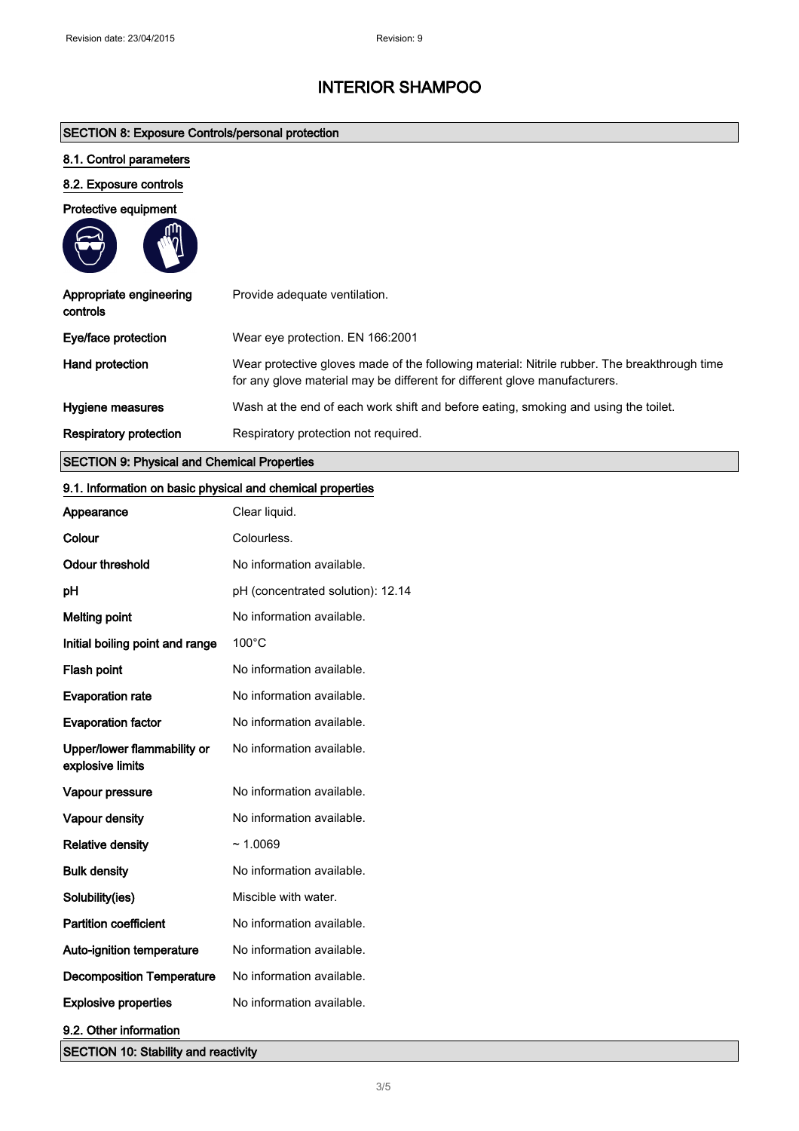# SECTION 8: Exposure Controls/personal protection

# 8.1. Control parameters

# 8.2. Exposure controls

## Protective equipment

**Second** 

| Appropriate engineering<br>controls | Provide adequate ventilation.                                                                                                                                              |
|-------------------------------------|----------------------------------------------------------------------------------------------------------------------------------------------------------------------------|
| Eye/face protection                 | Wear eye protection. EN 166:2001                                                                                                                                           |
| Hand protection                     | Wear protective gloves made of the following material: Nitrile rubber. The breakthrough time<br>for any glove material may be different for different glove manufacturers. |
| Hygiene measures                    | Wash at the end of each work shift and before eating, smoking and using the toilet.                                                                                        |
| <b>Respiratory protection</b>       | Respiratory protection not required.                                                                                                                                       |
|                                     |                                                                                                                                                                            |

# SECTION 9: Physical and Chemical Properties

## 9.1. Information on basic physical and chemical properties

| Appearance                                      | Clear liquid.                     |
|-------------------------------------------------|-----------------------------------|
| Colour                                          | Colourless.                       |
| <b>Odour threshold</b>                          | No information available.         |
| pH                                              | pH (concentrated solution): 12.14 |
| <b>Melting point</b>                            | No information available.         |
| Initial boiling point and range                 | $100^{\circ}$ C                   |
| Flash point                                     | No information available.         |
| <b>Evaporation rate</b>                         | No information available.         |
| <b>Evaporation factor</b>                       | No information available.         |
| Upper/lower flammability or<br>explosive limits | No information available.         |
| Vapour pressure                                 | No information available.         |
| Vapour density                                  | No information available.         |
| <b>Relative density</b>                         | ~1.0069                           |
| <b>Bulk density</b>                             | No information available.         |
| Solubility(ies)                                 | Miscible with water.              |
| <b>Partition coefficient</b>                    | No information available.         |
| Auto-ignition temperature                       | No information available.         |
| <b>Decomposition Temperature</b>                | No information available.         |
| <b>Explosive properties</b>                     | No information available.         |
| 9.2. Other information                          |                                   |
| <b>SECTION 10: Stability and reactivity</b>     |                                   |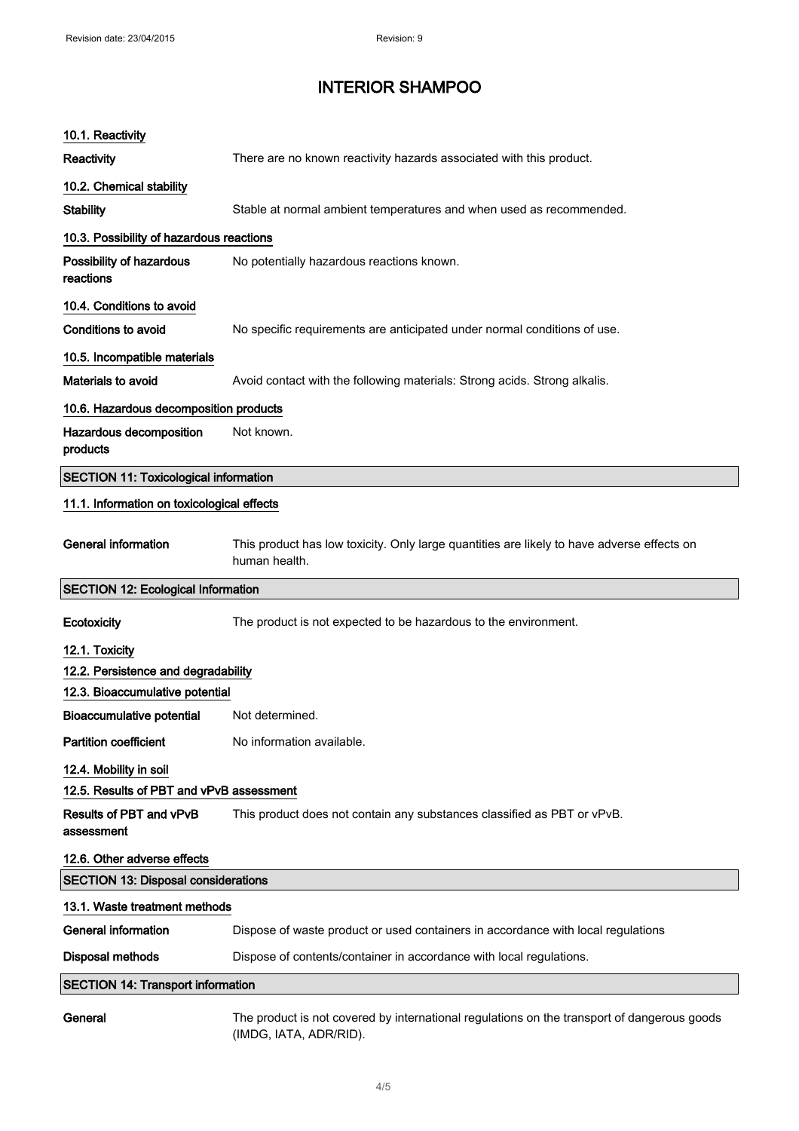| 10.1. Reactivity                             |                                                                                                             |  |
|----------------------------------------------|-------------------------------------------------------------------------------------------------------------|--|
| <b>Reactivity</b>                            | There are no known reactivity hazards associated with this product.                                         |  |
| 10.2. Chemical stability                     |                                                                                                             |  |
| <b>Stability</b>                             | Stable at normal ambient temperatures and when used as recommended.                                         |  |
| 10.3. Possibility of hazardous reactions     |                                                                                                             |  |
| Possibility of hazardous<br>reactions        | No potentially hazardous reactions known.                                                                   |  |
| 10.4. Conditions to avoid                    |                                                                                                             |  |
| Conditions to avoid                          | No specific requirements are anticipated under normal conditions of use.                                    |  |
| 10.5. Incompatible materials                 |                                                                                                             |  |
| Materials to avoid                           | Avoid contact with the following materials: Strong acids. Strong alkalis.                                   |  |
| 10.6. Hazardous decomposition products       |                                                                                                             |  |
| Hazardous decomposition<br>products          | Not known.                                                                                                  |  |
| <b>SECTION 11: Toxicological information</b> |                                                                                                             |  |
| 11.1. Information on toxicological effects   |                                                                                                             |  |
| <b>General information</b>                   | This product has low toxicity. Only large quantities are likely to have adverse effects on<br>human health. |  |
| <b>SECTION 12: Ecological Information</b>    |                                                                                                             |  |
|                                              |                                                                                                             |  |
| Ecotoxicity                                  | The product is not expected to be hazardous to the environment.                                             |  |
| 12.1. Toxicity                               |                                                                                                             |  |
| 12.2. Persistence and degradability          |                                                                                                             |  |
| 12.3. Bioaccumulative potential              |                                                                                                             |  |
| <b>Bioaccumulative potential</b>             | Not determined.                                                                                             |  |
| <b>Partition coefficient</b>                 | No information available.                                                                                   |  |
| 12.4. Mobility in soil                       |                                                                                                             |  |
| 12.5. Results of PBT and vPvB assessment     |                                                                                                             |  |
| Results of PBT and vPvB<br>assessment        | This product does not contain any substances classified as PBT or vPvB.                                     |  |
| 12.6. Other adverse effects                  |                                                                                                             |  |
| <b>SECTION 13: Disposal considerations</b>   |                                                                                                             |  |
| 13.1. Waste treatment methods                |                                                                                                             |  |
| <b>General information</b>                   | Dispose of waste product or used containers in accordance with local regulations                            |  |
| <b>Disposal methods</b>                      | Dispose of contents/container in accordance with local regulations.                                         |  |
| <b>SECTION 14: Transport information</b>     |                                                                                                             |  |